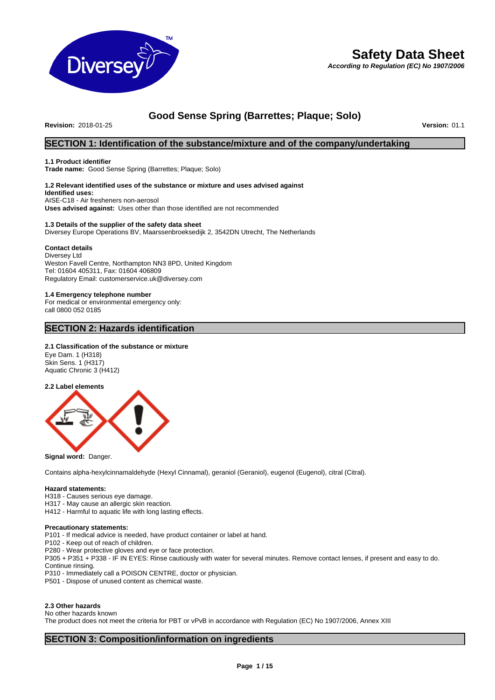

# **Safety Data Sheet**

*According to Regulation (EC) No 1907/2006*

# **Good Sense Spring (Barrettes; Plaque; Solo)**

**Revision:** 2018-01-25 **Version:** 01.1

# **SECTION 1: Identification of the substance/mixture and of the company/undertaking**

#### **1.1 Product identifier**

**Trade name:** Good Sense Spring (Barrettes; Plaque; Solo)

#### **1.2 Relevant identified uses of the substance or mixture and uses advised against Identified uses:** AISE-C18 - Air fresheners non-aerosol

**Uses advised against:** Uses other than those identified are not recommended

#### **1.3 Details of the supplier of the safety data sheet**

Diversey Europe Operations BV, Maarssenbroeksedijk 2, 3542DN Utrecht, The Netherlands

#### **Contact details**

Diversey Ltd Weston Favell Centre, Northampton NN3 8PD, United Kingdom Tel: 01604 405311, Fax: 01604 406809 Regulatory Email: customerservice.uk@diversey.com

# **1.4 Emergency telephone number**

For medical or environmental emergency only: call 0800 052 0185

## **SECTION 2: Hazards identification**

#### **2.1 Classification of the substance or mixture**

Eye Dam. 1 (H318) Skin Sens. 1 (H317) Aquatic Chronic 3 (H412)

#### **2.2 Label elements**



#### **Signal word:** Danger.

Contains alpha-hexylcinnamaldehyde (Hexyl Cinnamal), geraniol (Geraniol), eugenol (Eugenol), citral (Citral).

#### **Hazard statements:**

- H318 Causes serious eye damage.
- H317 May cause an allergic skin reaction.
- H412 Harmful to aquatic life with long lasting effects.

#### **Precautionary statements:**

P101 - If medical advice is needed, have product container or label at hand.

- P102 Keep out of reach of children.
- P280 Wear protective gloves and eye or face protection.
- P305 + P351 + P338 IF IN EYES: Rinse cautiously with water for several minutes. Remove contact lenses, if present and easy to do. Continue rinsing.
- P310 Immediately call a POISON CENTRE, doctor or physician.
- P501 Dispose of unused content as chemical waste.

#### **2.3 Other hazards**

No other hazards known

The product does not meet the criteria for PBT or vPvB in accordance with Regulation (EC) No 1907/2006, Annex XIII

# **SECTION 3: Composition/information on ingredients**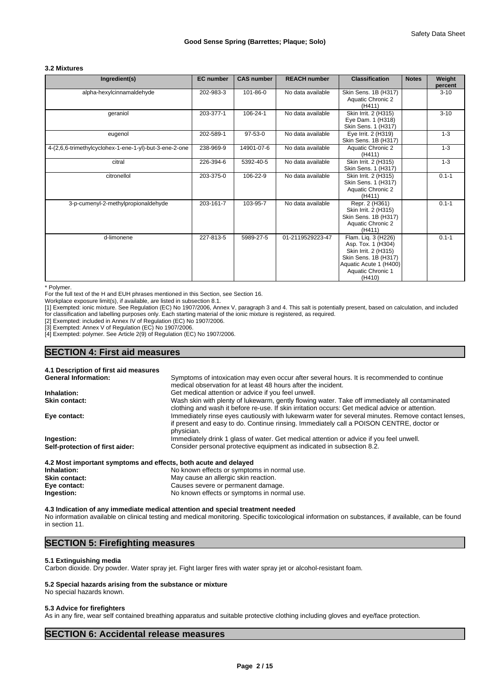## **3.2 Mixtures**

| Ingredient(s)                                          | <b>EC</b> number | <b>CAS number</b> | <b>REACH number</b> | <b>Classification</b>                                                                                                                              | <b>Notes</b> | Weight<br>percent |
|--------------------------------------------------------|------------------|-------------------|---------------------|----------------------------------------------------------------------------------------------------------------------------------------------------|--------------|-------------------|
| alpha-hexylcinnamaldehyde                              | 202-983-3        | 101-86-0          | No data available   | Skin Sens. 1B (H317)<br>Aquatic Chronic 2<br>(H411)                                                                                                |              | $3 - 10$          |
| geraniol                                               | 203-377-1        | 106-24-1          | No data available   | Skin Irrit. 2 (H315)<br>Eye Dam. 1 (H318)<br>Skin Sens. 1 (H317)                                                                                   |              | $3 - 10$          |
| eugenol                                                | 202-589-1        | 97-53-0           | No data available   | Eye Irrit. 2 (H319)<br>Skin Sens. 1B (H317)                                                                                                        |              | $1 - 3$           |
| 4-(2,6,6-trimethylcyclohex-1-ene-1-yl)-but-3-ene-2-one | 238-969-9        | 14901-07-6        | No data available   | Aquatic Chronic 2<br>(H411)                                                                                                                        |              | $1 - 3$           |
| citral                                                 | 226-394-6        | 5392-40-5         | No data available   | Skin Irrit. 2 (H315)<br>Skin Sens. 1 (H317)                                                                                                        |              | $1 - 3$           |
| citronellol                                            | 203-375-0        | 106-22-9          | No data available   | Skin Irrit. 2 (H315)<br>Skin Sens. 1 (H317)<br>Aquatic Chronic 2<br>(H411)                                                                         |              | $0.1 - 1$         |
| 3-p-cumenyl-2-methylpropionaldehyde                    | 203-161-7        | 103-95-7          | No data available   | Repr. 2 (H361)<br>Skin Irrit. 2 (H315)<br>Skin Sens. 1B (H317)<br>Aquatic Chronic 2<br>(H411)                                                      |              | $0.1 - 1$         |
| d-limonene                                             | 227-813-5        | 5989-27-5         | 01-2119529223-47    | Flam. Liq. 3 (H226)<br>Asp. Tox. 1 (H304)<br>Skin Irrit. 2 (H315)<br>Skin Sens. 1B (H317)<br>Aquatic Acute 1 (H400)<br>Aquatic Chronic 1<br>(H410) |              | $0.1 - 1$         |

\* Polymer.

For the full text of the H and EUH phrases mentioned in this Section, see Section 16.

Workplace exposure limit(s), if available, are listed in subsection 8.1.

[1] Exempted: ionic mixture. See Regulation (EC) No 1907/2006, Annex V, paragraph 3 and 4. This salt is potentially present, based on calculation, and included for classification and labelling purposes only. Each starting material of the ionic mixture is registered, as required.

[2] Exempted: included in Annex IV of Regulation (EC) No 1907/2006.

[3] Exempted: Annex V of Regulation (EC) No 1907/2006.

[4] Exempted: polymer. See Article 2(9) of Regulation (EC) No 1907/2006.

# **SECTION 4: First aid measures**

**4.1 Description of first aid measures**

| <b>General Information:</b>     | Symptoms of intoxication may even occur after several hours. It is recommended to continue        |
|---------------------------------|---------------------------------------------------------------------------------------------------|
|                                 | medical observation for at least 48 hours after the incident.                                     |
| Inhalation:                     | Get medical attention or advice if you feel unwell.                                               |
| <b>Skin contact:</b>            | Wash skin with plenty of lukewarm, gently flowing water. Take off immediately all contaminated    |
|                                 | clothing and wash it before re-use. If skin irritation occurs: Get medical advice or attention.   |
| Eye contact:                    | Immediately rinse eyes cautiously with lukewarm water for several minutes. Remove contact lenses, |
|                                 | if present and easy to do. Continue rinsing. Immediately call a POISON CENTRE, doctor or          |
|                                 | physician.                                                                                        |
| Ingestion:                      | Immediately drink 1 glass of water. Get medical attention or advice if you feel unwell.           |
| Self-protection of first aider: | Consider personal protective equipment as indicated in subsection 8.2.                            |

| <b>7.2 most important symptoms and chects, both acute and delayed</b> |
|-----------------------------------------------------------------------|
| No known effects or symptoms in normal use.                           |
| May cause an allergic skin reaction.                                  |
| Causes severe or permanent damage.                                    |
| No known effects or symptoms in normal use.                           |
|                                                                       |

**4.3 Indication of any immediate medical attention and special treatment needed** No information available on clinical testing and medical monitoring. Specific toxicological information on substances, if available, can be found in section 11.

# **SECTION 5: Firefighting measures**

#### **5.1 Extinguishing media**

Carbon dioxide. Dry powder. Water spray jet. Fight larger fires with water spray jet or alcohol-resistant foam.

#### **5.2 Special hazards arising from the substance or mixture**

No special hazards known.

#### **5.3 Advice for firefighters**

As in any fire, wear self contained breathing apparatus and suitable protective clothing including gloves and eye/face protection.

## **SECTION 6: Accidental release measures**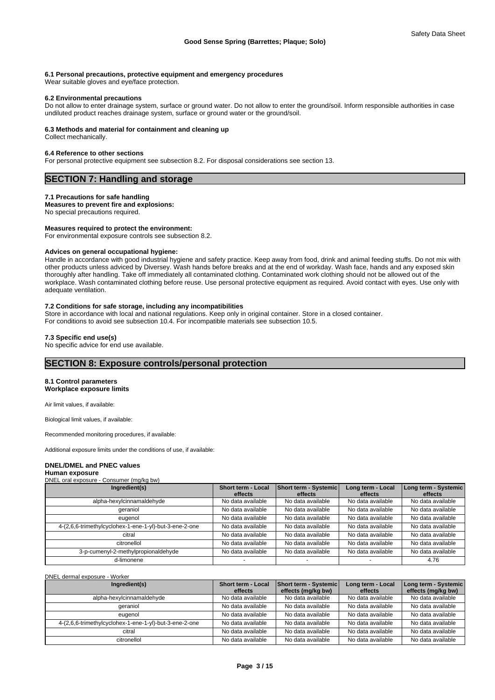#### **6.1 Personal precautions, protective equipment and emergency procedures**

Wear suitable gloves and eye/face protection.

#### **6.2 Environmental precautions**

Do not allow to enter drainage system, surface or ground water. Do not allow to enter the ground/soil. Inform responsible authorities in case undiluted product reaches drainage system, surface or ground water or the ground/soil.

#### **6.3 Methods and material for containment and cleaning up**

Collect mechanically.

#### **6.4 Reference to other sections**

For personal protective equipment see subsection 8.2. For disposal considerations see section 13.

# **SECTION 7: Handling and storage**

#### **7.1 Precautions for safe handling**

#### **Measures to prevent fire and explosions:**

No special precautions required.

# **Measures required to protect the environment:**

For environmental exposure controls see subsection 8.2.

#### **Advices on general occupational hygiene:**

Handle in accordance with good industrial hygiene and safety practice. Keep away from food, drink and animal feeding stuffs. Do not mix with other products unless adviced by Diversey. Wash hands before breaks and at the end of workday. Wash face, hands and any exposed skin thoroughly after handling. Take off immediately all contaminated clothing. Contaminated work clothing should not be allowed out of the workplace. Wash contaminated clothing before reuse. Use personal protective equipment as required. Avoid contact with eyes. Use only with adequate ventilation.

### **7.2 Conditions for safe storage, including any incompatibilities**

Store in accordance with local and national regulations. Keep only in original container. Store in a closed container. For conditions to avoid see subsection 10.4. For incompatible materials see subsection 10.5.

#### **7.3 Specific end use(s)**

No specific advice for end use available.

# **SECTION 8: Exposure controls/personal protection**

## **8.1 Control parameters**

**Workplace exposure limits**

Air limit values, if available:

Biological limit values, if available:

Recommended monitoring procedures, if available:

Additional exposure limits under the conditions of use, if available:

### **DNEL/DMEL and PNEC values**

**Human exposure**

| DNEL oral exposure - Consumer (mg/kg bw)               |                               |                                  |                              |                                 |
|--------------------------------------------------------|-------------------------------|----------------------------------|------------------------------|---------------------------------|
| Ingredient(s)                                          | Short term - Local<br>effects | Short term - Systemic<br>effects | Long term - Local<br>effects | Long term - Systemic<br>effects |
| alpha-hexylcinnamaldehyde                              | No data available             | No data available                | No data available            | No data available               |
| geraniol                                               | No data available             | No data available                | No data available            | No data available               |
| eugenol                                                | No data available             | No data available                | No data available            | No data available               |
| 4-(2,6,6-trimethylcyclohex-1-ene-1-yl)-but-3-ene-2-one | No data available             | No data available                | No data available            | No data available               |
| citral                                                 | No data available             | No data available                | No data available            | No data available               |
| citronellol                                            | No data available             | No data available                | No data available            | No data available               |
| 3-p-cumenyl-2-methylpropionaldehyde                    | No data available             | No data available                | No data available            | No data available               |
| d-limonene                                             |                               |                                  |                              | 4.76                            |

DNEL dermal exposure - Worker

| Ingredient(s)                                          | <b>Short term - Local</b><br>effects | Short term - Systemic<br>effects (mg/kg bw) | Long term - Local<br>effects | Long term - Systemic<br>effects (mg/kg bw) |
|--------------------------------------------------------|--------------------------------------|---------------------------------------------|------------------------------|--------------------------------------------|
| alpha-hexylcinnamaldehyde                              | No data available                    | No data available                           | No data available            | No data available                          |
| geraniol                                               | No data available                    | No data available                           | No data available            | No data available                          |
| eugenol                                                | No data available                    | No data available                           | No data available            | No data available                          |
| 4-(2,6,6-trimethylcyclohex-1-ene-1-yl)-but-3-ene-2-one | No data available                    | No data available                           | No data available            | No data available                          |
| citral                                                 | No data available                    | No data available                           | No data available            | No data available                          |
| citronellol                                            | No data available                    | No data available                           | No data available            | No data available                          |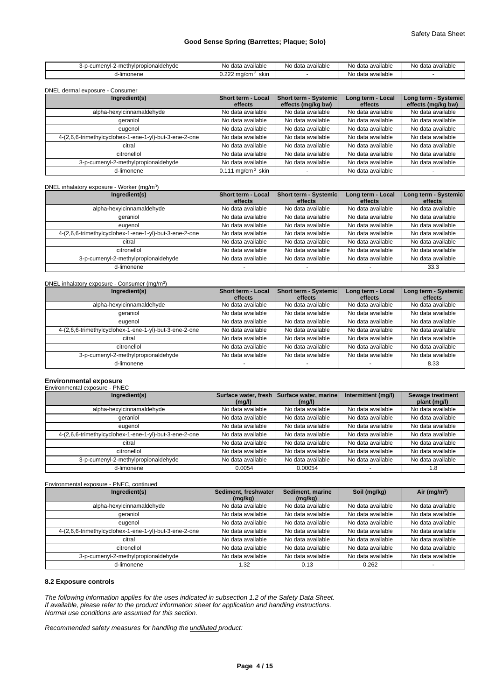| !-methvlpropionaldehvde<br>$\sim$<br>3-D-<br>JU I | No<br>data available                   | No<br>ı data available | No.<br>ı data ava<br>available | No<br>data available<br>$A = +$ |
|---------------------------------------------------|----------------------------------------|------------------------|--------------------------------|---------------------------------|
| -limonene                                         | $\sim$<br>skir<br>vcm.<br>$\sim$<br>ាយ |                        | No<br>available<br>data ava    |                                 |

DNEL dermal exposure - Consumer

| Ingredient(s)                                          | Short term - Local<br>effects   | Short term - Systemic<br>effects (mg/kg bw) | Long term - Local<br>effects | Long term - Systemic<br>effects (mg/kg bw) |
|--------------------------------------------------------|---------------------------------|---------------------------------------------|------------------------------|--------------------------------------------|
| alpha-hexylcinnamaldehyde                              | No data available               | No data available                           | No data available            | No data available                          |
| geraniol                                               | No data available               | No data available                           | No data available            | No data available                          |
| eugenol                                                | No data available               | No data available                           | No data available            | No data available                          |
| 4-(2,6,6-trimethylcyclohex-1-ene-1-yl)-but-3-ene-2-one | No data available               | No data available                           | No data available            | No data available                          |
| citral                                                 | No data available               | No data available                           | No data available            | No data available                          |
| citronellol                                            | No data available               | No data available                           | No data available            | No data available                          |
| 3-p-cumenyl-2-methylpropionaldehyde                    | No data available               | No data available                           | No data available            | No data available                          |
| d-limonene                                             | $0.111$ mg/cm <sup>2</sup> skin |                                             | No data available            |                                            |

DNEL inhalatory exposure - Worker (mg/m<sup>3</sup>  $)$ 

| Ingredient(s)                                          | Short term - Local<br>effects | <b>Short term - Systemic</b><br>effects | Long term - Local<br>effects | Long term - Systemic<br>effects |
|--------------------------------------------------------|-------------------------------|-----------------------------------------|------------------------------|---------------------------------|
| alpha-hexylcinnamaldehyde                              | No data available             | No data available                       | No data available            | No data available               |
| aeraniol                                               | No data available             | No data available                       | No data available            | No data available               |
| eugenol                                                | No data available             | No data available                       | No data available            | No data available               |
| 4-(2,6,6-trimethylcyclohex-1-ene-1-yl)-but-3-ene-2-one | No data available             | No data available                       | No data available            | No data available               |
| citral                                                 | No data available             | No data available                       | No data available            | No data available               |
| citronellol                                            | No data available             | No data available                       | No data available            | No data available               |
| 3-p-cumenyl-2-methylpropionaldehyde                    | No data available             | No data available                       | No data available            | No data available               |
| d-limonene                                             |                               |                                         |                              | 33.3                            |

DNEL inhalatory exposure - Consumer (mg/m<sup>3</sup>

| DNEL inhalatory exposure - Consumer (mg/m <sup>3</sup> ) |                                      |                                  |                              |                                 |
|----------------------------------------------------------|--------------------------------------|----------------------------------|------------------------------|---------------------------------|
| Ingredient(s)                                            | <b>Short term - Local</b><br>effects | Short term - Systemic<br>effects | Long term - Local<br>effects | Long term - Systemic<br>effects |
| alpha-hexylcinnamaldehyde                                | No data available                    | No data available                | No data available            | No data available               |
| geraniol                                                 | No data available                    | No data available                | No data available            | No data available               |
| eugenol                                                  | No data available                    | No data available                | No data available            | No data available               |
| 4-(2,6,6-trimethylcyclohex-1-ene-1-yl)-but-3-ene-2-one   | No data available                    | No data available                | No data available            | No data available               |
| citral                                                   | No data available                    | No data available                | No data available            | No data available               |
| citronellol                                              | No data available                    | No data available                | No data available            | No data available               |
| 3-p-cumenyl-2-methylpropionaldehyde                      | No data available                    | No data available                | No data available            | No data available               |
| d-limonene                                               |                                      |                                  |                              | 8.33                            |

# **Environmental exposure** Environmental exposure - PNEC

| Surface water, fresh<br>(mq/l) | (mq/l)            | Intermittent (mg/l) | Sewage treatment<br>plant (mg/l) |
|--------------------------------|-------------------|---------------------|----------------------------------|
| No data available              | No data available | No data available   | No data available                |
| No data available              | No data available | No data available   | No data available                |
| No data available              | No data available | No data available   | No data available                |
| No data available              | No data available | No data available   | No data available                |
| No data available              | No data available | No data available   | No data available                |
| No data available              | No data available | No data available   | No data available                |
| No data available              | No data available | No data available   | No data available                |
| 0.0054                         | 0.00054           |                     | 1.8                              |
|                                |                   |                     | Surface water, marine            |

## Environmental exposure - PNEC, continued

| Ingredient(s)                                          | Sediment, freshwater<br>(mg/kg) | Sediment, marine<br>(mg/kg) | Soil (mg/kg)      | Air ( $mq/m3$ )   |
|--------------------------------------------------------|---------------------------------|-----------------------------|-------------------|-------------------|
| alpha-hexylcinnamaldehyde                              | No data available               | No data available           | No data available | No data available |
| geraniol                                               | No data available               | No data available           | No data available | No data available |
| eugenol                                                | No data available               | No data available           | No data available | No data available |
| 4-(2,6,6-trimethylcyclohex-1-ene-1-yl)-but-3-ene-2-one | No data available               | No data available           | No data available | No data available |
| citral                                                 | No data available               | No data available           | No data available | No data available |
| citronellol                                            | No data available               | No data available           | No data available | No data available |
| 3-p-cumenyl-2-methylpropionaldehyde                    | No data available               | No data available           | No data available | No data available |
| d-limonene                                             | l.32                            | 0.13                        | 0.262             |                   |

## **8.2 Exposure controls**

*The following information applies for the uses indicated in subsection 1.2 of the Safety Data Sheet. If available, please refer to the product information sheet for application and handling instructions. Normal use conditions are assumed for this section.*

*Recommended safety measures for handling the undiluted product:*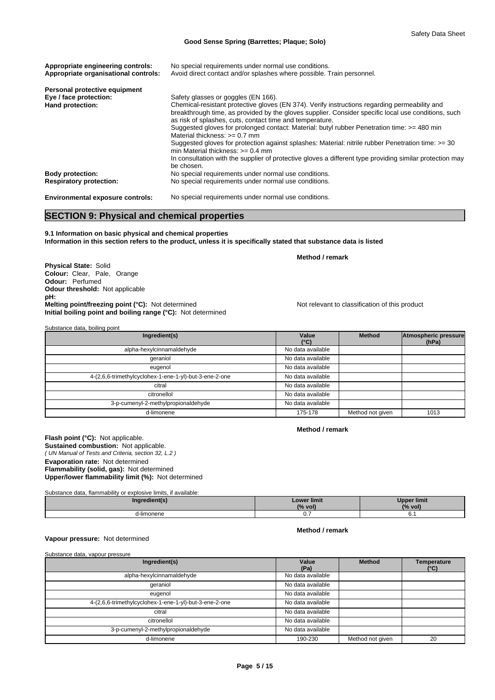| Appropriate engineering controls:<br>Appropriate organisational controls: | No special requirements under normal use conditions.<br>Avoid direct contact and/or splashes where possible. Train personnel.              |
|---------------------------------------------------------------------------|--------------------------------------------------------------------------------------------------------------------------------------------|
|                                                                           |                                                                                                                                            |
| Personal protective equipment                                             |                                                                                                                                            |
| Eye / face protection:                                                    | Safety glasses or goggles (EN 166).                                                                                                        |
| Hand protection:                                                          | Chemical-resistant protective gloves (EN 374). Verify instructions regarding permeability and                                              |
|                                                                           | breakthrough time, as provided by the gloves supplier. Consider specific local use conditions, such                                        |
|                                                                           | as risk of splashes, cuts, contact time and temperature.                                                                                   |
|                                                                           | Suggested gloves for prolonged contact: Material: butyl rubber Penetration time: >= 480 min<br>Material thickness: $>= 0.7$ mm             |
|                                                                           |                                                                                                                                            |
|                                                                           | Suggested gloves for protection against splashes: Material: nitrile rubber Penetration time: >= 30<br>min Material thickness: $> = 0.4$ mm |
|                                                                           | In consultation with the supplier of protective gloves a different type providing similar protection may                                   |
|                                                                           | be chosen.                                                                                                                                 |
| <b>Body protection:</b>                                                   | No special requirements under normal use conditions.                                                                                       |
| <b>Respiratory protection:</b>                                            | No special requirements under normal use conditions.                                                                                       |
| <b>Environmental exposure controls:</b>                                   | No special requirements under normal use conditions.                                                                                       |

# **SECTION 9: Physical and chemical properties**

**9.1 Information on basic physical and chemical properties Information in this section refers to the product, unless it is specifically stated that substance data is listed**

**Physical State:** Solid **Colour:** Clear, Pale, Orange **Odour:** Perfumed **Odour threshold:** Not applicable **pH: Melting point/freezing point (°C):** Not determined Not relevant to classification of this product **Initial boiling point and boiling range (°C):** Not determined

**Method / remark**

| Substance data, boiling point                          |                        |                  |                               |
|--------------------------------------------------------|------------------------|------------------|-------------------------------|
| Ingredient(s)                                          | Value<br>$(^{\circ}C)$ | <b>Method</b>    | Atmospheric pressure<br>(hPa) |
| alpha-hexylcinnamaldehyde                              | No data available      |                  |                               |
| geraniol                                               | No data available      |                  |                               |
| eugenol                                                | No data available      |                  |                               |
| 4-(2,6,6-trimethylcyclohex-1-ene-1-yl)-but-3-ene-2-one | No data available      |                  |                               |
| citral                                                 | No data available      |                  |                               |
| citronellol                                            | No data available      |                  |                               |
| 3-p-cumenyl-2-methylpropionaldehyde                    | No data available      |                  |                               |
| d-limonene                                             | 175-178                | Method not given | 1013                          |

**Method / remark**

**Method / remark**

*( UN Manual of Tests and Criteria, section 32, L.2 )* **Flash point (°C):** Not applicable. **Sustained combustion:** Not applicable. **Evaporation rate:** Not determined **Flammability (solid, gas):** Not determined **Upper/lower flammability limit (%):** Not determined

Substance data, flammability or explosive limits, if available:

| redient(sˈ | Lower limit<br>$\frac{10}{6}$ voi. | Upper limit<br>(% vol) |
|------------|------------------------------------|------------------------|
| limonene   | ິ                                  | ັບ. .                  |

#### **Vapour pressure:** Not determined

| Value<br>(Pa)     | <b>Method</b>    | <b>Temperature</b><br>(°C) |
|-------------------|------------------|----------------------------|
| No data available |                  |                            |
| No data available |                  |                            |
| No data available |                  |                            |
| No data available |                  |                            |
| No data available |                  |                            |
| No data available |                  |                            |
| No data available |                  |                            |
| 190-230           | Method not given | 20                         |
|                   |                  |                            |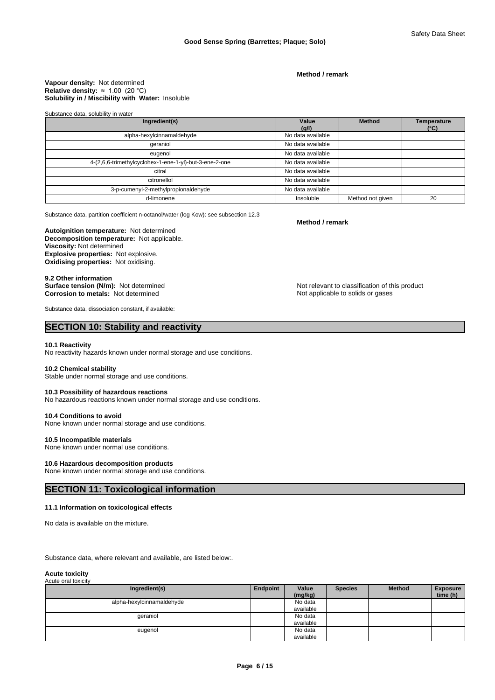**Method / remark**

#### **Solubility in / Miscibility with Water:** Insoluble **Vapour density:** Not determined **Relative density:** ≈1.00(20°C)

#### Substance data, solubility in water

| Ingredient(s)                                          | Value<br>(g/l)    | <b>Method</b>    | <b>Temperature</b><br>(°C) |
|--------------------------------------------------------|-------------------|------------------|----------------------------|
| alpha-hexylcinnamaldehyde                              | No data available |                  |                            |
| qeraniol                                               | No data available |                  |                            |
| eugenol                                                | No data available |                  |                            |
| 4-(2,6,6-trimethylcyclohex-1-ene-1-yl)-but-3-ene-2-one | No data available |                  |                            |
| citral                                                 | No data available |                  |                            |
| citronellol                                            | No data available |                  |                            |
| 3-p-cumenyl-2-methylpropionaldehyde                    | No data available |                  |                            |
| d-limonene                                             | Insoluble         | Method not given | 20                         |

Substance data, partition coefficient n-octanol/water (log Kow): see subsection 12.3

#### **Decomposition temperature:** Not applicable. **Autoignition temperature:** Not determined **Viscosity:** Not determined **Explosive properties:** Not explosive. **Oxidising properties:** Not oxidising.

# 9.2 Other information<br>Surface tension (N/m): Not determined **Corrosion to metals:** Not determined **Notify and America Corrosion to metals:** Not determined

Substance data, dissociation constant, if available:

# **SECTION 10: Stability and reactivity**

#### **10.1 Reactivity**

No reactivity hazards known under normal storage and use conditions.

#### **10.2 Chemical stability**

Stable under normal storage and use conditions.

#### **10.3 Possibility of hazardous reactions**

No hazardous reactions known under normal storage and use conditions.

#### **10.4 Conditions to avoid**

None known under normal storage and use conditions.

#### **10.5 Incompatible materials**

None known under normal use conditions.

#### **10.6 Hazardous decomposition products**

None known under normal storage and use conditions.

# **SECTION 11: Toxicological information**

#### **11.1 Information on toxicological effects**

No data is available on the mixture.

Substance data, where relevant and available, are listed below:.

#### **Acute toxicity** Acute oral toxicity

| Ingredient(s)             | Endpoint | Value<br>(mg/kg) | <b>Species</b> | <b>Method</b> | <b>Exposure</b><br>time (h) |
|---------------------------|----------|------------------|----------------|---------------|-----------------------------|
| alpha-hexylcinnamaldehyde |          | No data          |                |               |                             |
|                           |          | available        |                |               |                             |
| geraniol                  |          | No data          |                |               |                             |
|                           |          | available        |                |               |                             |
| eugenol                   |          | No data          |                |               |                             |
|                           |          | available        |                |               |                             |

#### **Method / remark**

Not relevant to classification of this product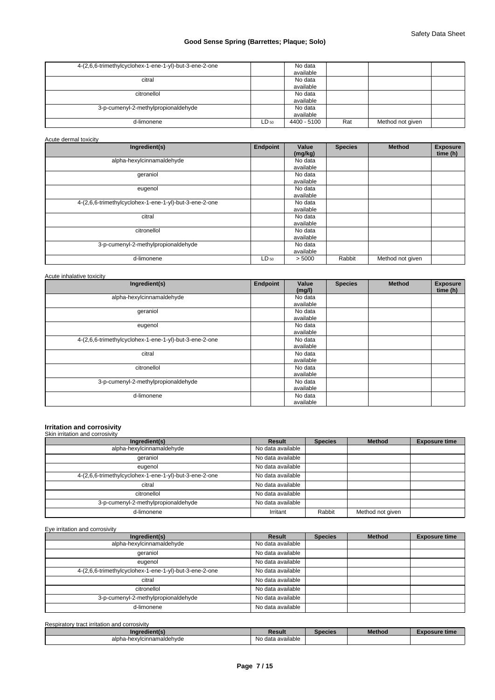| 4-(2,6,6-trimethylcyclohex-1-ene-1-yl)-but-3-ene-2-one |       | No data<br>available |     |                  |  |
|--------------------------------------------------------|-------|----------------------|-----|------------------|--|
| citral                                                 |       | No data              |     |                  |  |
|                                                        |       | available            |     |                  |  |
| citronellol                                            |       | No data              |     |                  |  |
|                                                        |       | available            |     |                  |  |
| 3-p-cumenyl-2-methylpropionaldehyde                    |       | No data              |     |                  |  |
|                                                        |       | available            |     |                  |  |
| d-limonene                                             | ∟D 50 | 4400 - 5100          | Rat | Method not given |  |

Acute dermal toxicity

| Ingredient(s)                                          | <b>Endpoint</b> | Value<br>(mg/kg)     | <b>Species</b> | <b>Method</b>    | <b>Exposure</b><br>time (h) |
|--------------------------------------------------------|-----------------|----------------------|----------------|------------------|-----------------------------|
| alpha-hexylcinnamaldehyde                              |                 | No data<br>available |                |                  |                             |
| geraniol                                               |                 | No data<br>available |                |                  |                             |
| eugenol                                                |                 | No data<br>available |                |                  |                             |
| 4-(2,6,6-trimethylcyclohex-1-ene-1-yl)-but-3-ene-2-one |                 | No data<br>available |                |                  |                             |
| citral                                                 |                 | No data<br>available |                |                  |                             |
| citronellol                                            |                 | No data<br>available |                |                  |                             |
| 3-p-cumenyl-2-methylpropionaldehyde                    |                 | No data<br>available |                |                  |                             |
| d-limonene                                             | $LD_{50}$       | > 5000               | Rabbit         | Method not given |                             |

| Ingredient(s)                                          | Endpoint | Value<br>(mg/l) | <b>Species</b> | <b>Method</b> | <b>Exposure</b><br>time (h) |
|--------------------------------------------------------|----------|-----------------|----------------|---------------|-----------------------------|
| alpha-hexylcinnamaldehyde                              |          | No data         |                |               |                             |
|                                                        |          | available       |                |               |                             |
| geraniol                                               |          | No data         |                |               |                             |
|                                                        |          | available       |                |               |                             |
| eugenol                                                |          | No data         |                |               |                             |
|                                                        |          | available       |                |               |                             |
| 4-(2,6,6-trimethylcyclohex-1-ene-1-yl)-but-3-ene-2-one |          | No data         |                |               |                             |
|                                                        |          | available       |                |               |                             |
| citral                                                 |          | No data         |                |               |                             |
|                                                        |          | available       |                |               |                             |
| citronellol                                            |          | No data         |                |               |                             |
|                                                        |          | available       |                |               |                             |
| 3-p-cumenyl-2-methylpropionaldehyde                    |          | No data         |                |               |                             |
|                                                        |          | available       |                |               |                             |
| d-limonene                                             |          | No data         |                |               |                             |
|                                                        |          | available       |                |               |                             |

# **Irritation and corrosivity** Skin irritation and corrosivity

| Ingredient(s)                                          | Result            | <b>Species</b> | <b>Method</b>    | <b>Exposure time</b> |
|--------------------------------------------------------|-------------------|----------------|------------------|----------------------|
| alpha-hexylcinnamaldehyde                              | No data available |                |                  |                      |
| qeraniol                                               | No data available |                |                  |                      |
| eugenol                                                | No data available |                |                  |                      |
| 4-(2,6,6-trimethylcyclohex-1-ene-1-yl)-but-3-ene-2-one | No data available |                |                  |                      |
| citral                                                 | No data available |                |                  |                      |
| citronellol                                            | No data available |                |                  |                      |
| 3-p-cumenyl-2-methylpropionaldehyde                    | No data available |                |                  |                      |
| d-limonene                                             | Irritant          | Rabbit         | Method not given |                      |

Eye irritation and corrosivity

| Ingredient(s)                                          | Result            | <b>Species</b> | <b>Method</b> | <b>Exposure time</b> |
|--------------------------------------------------------|-------------------|----------------|---------------|----------------------|
| alpha-hexylcinnamaldehyde                              | No data available |                |               |                      |
| geraniol                                               | No data available |                |               |                      |
| eugenol                                                | No data available |                |               |                      |
| 4-(2,6,6-trimethylcyclohex-1-ene-1-yl)-but-3-ene-2-one | No data available |                |               |                      |
| citral                                                 | No data available |                |               |                      |
| citronellol                                            | No data available |                |               |                      |
| 3-p-cumenyl-2-methylpropionaldehyde                    | No data available |                |               |                      |
| d-limonene                                             | No data available |                |               |                      |

Respiratory tract irritation and corrosivity

| Ingredient(s)             | Result            | Species | <b>Method</b> | osure time |
|---------------------------|-------------------|---------|---------------|------------|
| alpha-hexvlcinnamaldehvde | No data available |         |               |            |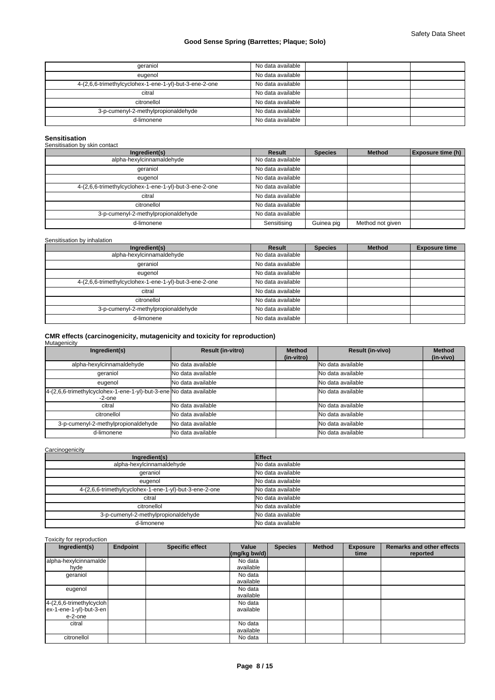| geraniol                                               | No data available |
|--------------------------------------------------------|-------------------|
| eugenol                                                | No data available |
| 4-(2,6,6-trimethylcyclohex-1-ene-1-yl)-but-3-ene-2-one | No data available |
| citral                                                 | No data available |
| citronellol                                            | No data available |
| 3-p-cumenyl-2-methylpropionaldehyde                    | No data available |
| d-limonene                                             | No data available |

#### **Sensitisation**

# Sensitisation by skin contact

| Ingredient(s)                                          | Result            | <b>Species</b> | <b>Method</b>    | <b>Exposure time (h)</b> |
|--------------------------------------------------------|-------------------|----------------|------------------|--------------------------|
| alpha-hexylcinnamaldehyde                              | No data available |                |                  |                          |
| geraniol                                               | No data available |                |                  |                          |
| eugenol                                                | No data available |                |                  |                          |
| 4-(2,6,6-trimethylcyclohex-1-ene-1-yl)-but-3-ene-2-one | No data available |                |                  |                          |
| citral                                                 | No data available |                |                  |                          |
| citronellol                                            | No data available |                |                  |                          |
| 3-p-cumenyl-2-methylpropionaldehyde                    | No data available |                |                  |                          |
| d-limonene                                             | Sensitising       | Guinea pig     | Method not given |                          |

### Sensitisation by inhalation

| Ingredient(s)                                          | <b>Result</b>     | <b>Species</b> | <b>Method</b> | <b>Exposure time</b> |
|--------------------------------------------------------|-------------------|----------------|---------------|----------------------|
| alpha-hexylcinnamaldehyde                              | No data available |                |               |                      |
| geraniol                                               | No data available |                |               |                      |
| eugenol                                                | No data available |                |               |                      |
| 4-(2,6,6-trimethylcyclohex-1-ene-1-yl)-but-3-ene-2-one | No data available |                |               |                      |
| citral                                                 | No data available |                |               |                      |
| citronellol                                            | No data available |                |               |                      |
| 3-p-cumenyl-2-methylpropionaldehyde                    | No data available |                |               |                      |
| d-limonene                                             | No data available |                |               |                      |

# **CMR effects (carcinogenicity, mutagenicity and toxicity for reproduction)** Mutagenicity

| Ingredient(s)                                                                   | <b>Result (in-vitro)</b>   | <b>Method</b><br>(in-vitro) | <b>Result (in-vivo)</b> | <b>Method</b><br>(in-vivo) |
|---------------------------------------------------------------------------------|----------------------------|-----------------------------|-------------------------|----------------------------|
| alpha-hexylcinnamaldehyde                                                       | <b>INo data available</b>  |                             | No data available       |                            |
| geraniol                                                                        | <b>I</b> No data available |                             | No data available       |                            |
| eugenol                                                                         | <b>INo data available</b>  |                             | No data available       |                            |
| 4-(2,6,6-trimethylcyclohex-1-ene-1-yl)-but-3-ene No data available<br>$-2$ -one |                            |                             | No data available       |                            |
| citral                                                                          | <b>No data available</b>   |                             | No data available       |                            |
| citronellol                                                                     | INo data available         |                             | No data available       |                            |
| 3-p-cumenyl-2-methylpropionaldehyde                                             | <b>No data available</b>   |                             | No data available       |                            |
| d-limonene                                                                      | <b>INo data available</b>  |                             | No data available       |                            |

### **Carcinogenicity**

| Ingredient(s)                                          | Effect            |
|--------------------------------------------------------|-------------------|
| alpha-hexylcinnamaldehyde                              | No data available |
| geraniol                                               | No data available |
| eugenol                                                | No data available |
| 4-(2,6,6-trimethylcyclohex-1-ene-1-yl)-but-3-ene-2-one | No data available |
| citral                                                 | No data available |
| citronellol                                            | No data available |
| 3-p-cumenyl-2-methylpropionaldehyde                    | No data available |
| d-limonene                                             | No data available |

#### Toxicity for reproduction

| Ingredient(s)            | Endpoint | <b>Specific effect</b> | Value<br>$(mg/kg$ bw/d) | <b>Species</b> | <b>Method</b> | <b>Exposure</b><br>time | <b>Remarks and other effects</b><br>reported |
|--------------------------|----------|------------------------|-------------------------|----------------|---------------|-------------------------|----------------------------------------------|
| alpha-hexylcinnamalde    |          |                        | No data                 |                |               |                         |                                              |
| hyde                     |          |                        | available               |                |               |                         |                                              |
| geraniol                 |          |                        | No data                 |                |               |                         |                                              |
|                          |          |                        | available               |                |               |                         |                                              |
| eugenol                  |          |                        | No data                 |                |               |                         |                                              |
|                          |          |                        | available               |                |               |                         |                                              |
| 4-(2,6,6-trimethylcycloh |          |                        | No data                 |                |               |                         |                                              |
| ex-1-ene-1-yl)-but-3-en  |          |                        | available               |                |               |                         |                                              |
| e-2-one                  |          |                        |                         |                |               |                         |                                              |
| citral                   |          |                        | No data                 |                |               |                         |                                              |
|                          |          |                        | available               |                |               |                         |                                              |
| citronellol              |          |                        | No data                 |                |               |                         |                                              |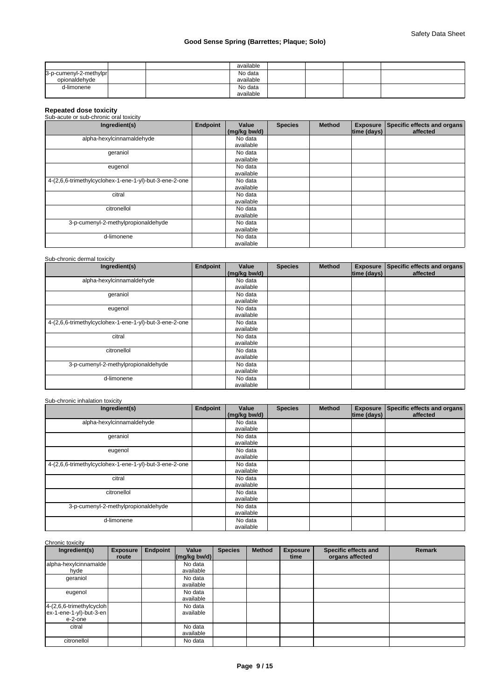|                        | available |  |  |
|------------------------|-----------|--|--|
| 3-p-cumenyl-2-methylpr | No data   |  |  |
| opionaldehvde          | available |  |  |
| d-limonene             | No data   |  |  |
|                        | available |  |  |

# **Repeated dose toxicity** Sub-acute or sub-chronic oral toxicity

| Ingredient(s)                                          | Endpoint | Value<br>(mg/kg bw/d) | <b>Species</b> | <b>Method</b> | time (days) | Exposure Specific effects and organs<br>affected |
|--------------------------------------------------------|----------|-----------------------|----------------|---------------|-------------|--------------------------------------------------|
| alpha-hexylcinnamaldehyde                              |          | No data<br>available  |                |               |             |                                                  |
| geraniol                                               |          | No data<br>available  |                |               |             |                                                  |
| eugenol                                                |          | No data<br>available  |                |               |             |                                                  |
| 4-(2,6,6-trimethylcyclohex-1-ene-1-yl)-but-3-ene-2-one |          | No data<br>available  |                |               |             |                                                  |
| citral                                                 |          | No data<br>available  |                |               |             |                                                  |
| citronellol                                            |          | No data<br>available  |                |               |             |                                                  |
| 3-p-cumenyl-2-methylpropionaldehyde                    |          | No data<br>available  |                |               |             |                                                  |
| d-limonene                                             |          | No data<br>available  |                |               |             |                                                  |

# Sub-chronic dermal toxicity

| Ingredient(s)                                          | <b>Endpoint</b> | Value<br>(mg/kg bw/d) | <b>Species</b> | <b>Method</b> | time (days) | Exposure Specific effects and organs<br>affected |
|--------------------------------------------------------|-----------------|-----------------------|----------------|---------------|-------------|--------------------------------------------------|
| alpha-hexylcinnamaldehyde                              |                 | No data               |                |               |             |                                                  |
|                                                        |                 | available             |                |               |             |                                                  |
| qeraniol                                               |                 | No data               |                |               |             |                                                  |
|                                                        |                 | available             |                |               |             |                                                  |
| eugenol                                                |                 | No data               |                |               |             |                                                  |
|                                                        |                 | available             |                |               |             |                                                  |
| 4-(2,6,6-trimethylcyclohex-1-ene-1-yl)-but-3-ene-2-one |                 | No data               |                |               |             |                                                  |
|                                                        |                 | available             |                |               |             |                                                  |
| citral                                                 |                 | No data               |                |               |             |                                                  |
|                                                        |                 | available             |                |               |             |                                                  |
| citronellol                                            |                 | No data               |                |               |             |                                                  |
|                                                        |                 | available             |                |               |             |                                                  |
| 3-p-cumenyl-2-methylpropionaldehyde                    |                 | No data               |                |               |             |                                                  |
|                                                        |                 | available             |                |               |             |                                                  |
| d-limonene                                             |                 | No data               |                |               |             |                                                  |
|                                                        |                 | available             |                |               |             |                                                  |

| Sub-chronic inhalation toxicity |
|---------------------------------|
|                                 |

| Ingredient(s)                                          | <b>Endpoint</b> | Value        | <b>Species</b> | <b>Method</b> |                    | Exposure Specific effects and organs |
|--------------------------------------------------------|-----------------|--------------|----------------|---------------|--------------------|--------------------------------------|
|                                                        |                 | (mg/kg bw/d) |                |               | $ time$ (days) $ $ | affected                             |
| alpha-hexylcinnamaldehyde                              |                 | No data      |                |               |                    |                                      |
|                                                        |                 | available    |                |               |                    |                                      |
| geraniol                                               |                 | No data      |                |               |                    |                                      |
|                                                        |                 | available    |                |               |                    |                                      |
| eugenol                                                |                 | No data      |                |               |                    |                                      |
|                                                        |                 | available    |                |               |                    |                                      |
| 4-(2,6,6-trimethylcyclohex-1-ene-1-yl)-but-3-ene-2-one |                 | No data      |                |               |                    |                                      |
|                                                        |                 | available    |                |               |                    |                                      |
| citral                                                 |                 | No data      |                |               |                    |                                      |
|                                                        |                 | available    |                |               |                    |                                      |
| citronellol                                            |                 | No data      |                |               |                    |                                      |
|                                                        |                 | available    |                |               |                    |                                      |
| 3-p-cumenyl-2-methylpropionaldehyde                    |                 | No data      |                |               |                    |                                      |
|                                                        |                 | available    |                |               |                    |                                      |
| d-limonene                                             |                 | No data      |                |               |                    |                                      |
|                                                        |                 | available    |                |               |                    |                                      |

| Ingredient(s)                                                     | <b>Exposure</b><br>route | Endpoint | Value<br>$\left \frac{\text{mg}}{\text{kg}}\right $ bw/d) | <b>Species</b> | <b>Method</b> | <b>Exposure</b><br>time | Specific effects and<br>organs affected | <b>Remark</b> |
|-------------------------------------------------------------------|--------------------------|----------|-----------------------------------------------------------|----------------|---------------|-------------------------|-----------------------------------------|---------------|
| alpha-hexylcinnamalde<br>hyde                                     |                          |          | No data<br>available                                      |                |               |                         |                                         |               |
| geraniol                                                          |                          |          | No data<br>available                                      |                |               |                         |                                         |               |
| eugenol                                                           |                          |          | No data<br>available                                      |                |               |                         |                                         |               |
| 4-(2,6,6-trimethylcycloh<br>$ex-1$ -ene-1-yl)-but-3-en<br>e-2-one |                          |          | No data<br>available                                      |                |               |                         |                                         |               |
| citral                                                            |                          |          | No data<br>available                                      |                |               |                         |                                         |               |
| citronellol                                                       |                          |          | No data                                                   |                |               |                         |                                         |               |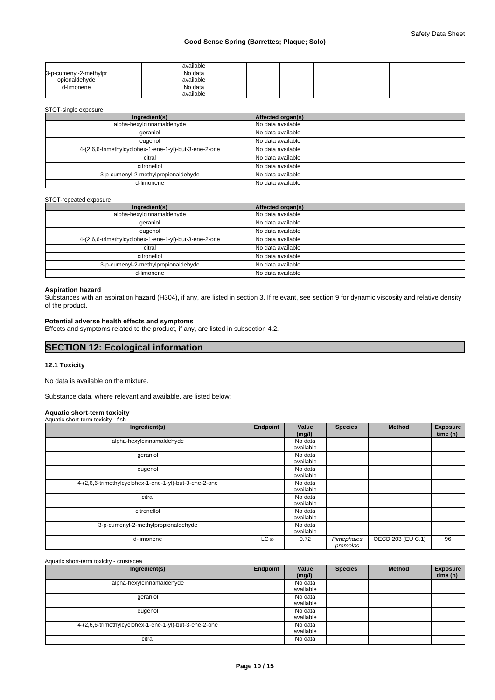|                                         |  | available            |  |  |  |
|-----------------------------------------|--|----------------------|--|--|--|
| 3-p-cumenyl-2-methylpr<br>opionaldehvde |  | No data<br>available |  |  |  |
| d-limonene                              |  | No data<br>available |  |  |  |

#### STOT-single exposure

| Ingredient(s)                                          | Affected organ(s) |
|--------------------------------------------------------|-------------------|
| alpha-hexylcinnamaldehyde                              | No data available |
| qeraniol                                               | No data available |
| eugenol                                                | No data available |
| 4-(2,6,6-trimethylcyclohex-1-ene-1-yl)-but-3-ene-2-one | No data available |
| citral                                                 | No data available |
| citronellol                                            | No data available |
| 3-p-cumenyl-2-methylpropionaldehyde                    | No data available |
| d-limonene                                             | No data available |

#### STOT-repeated exposure

| Ingredient(s)                                          | Affected organ(s) |
|--------------------------------------------------------|-------------------|
| alpha-hexylcinnamaldehyde                              | No data available |
| qeraniol                                               | No data available |
| eugenol                                                | No data available |
| 4-(2,6,6-trimethylcyclohex-1-ene-1-yl)-but-3-ene-2-one | No data available |
| citral                                                 | No data available |
| citronellol                                            | No data available |
| 3-p-cumenyl-2-methylpropionaldehyde                    | No data available |
| d-limonene                                             | No data available |

# **Aspiration hazard**

Substances with an aspiration hazard (H304), if any, are listed in section 3. If relevant, see section 9 for dynamic viscosity and relative density of the product.

#### **Potential adverse health effects and symptoms**

Effects and symptoms related to the product, if any, are listed in subsection 4.2.

# **SECTION 12: Ecological information**

#### **12.1 Toxicity**

No data is available on the mixture.

Substance data, where relevant and available, are listed below:

# **Aquatic short-term toxicity**

| Aquatic short-term toxicity - fish                     |           |                 |                |                   |                             |
|--------------------------------------------------------|-----------|-----------------|----------------|-------------------|-----------------------------|
| Ingredient(s)                                          | Endpoint  | Value<br>(mg/l) | <b>Species</b> | Method            | <b>Exposure</b><br>time (h) |
| alpha-hexylcinnamaldehyde                              |           | No data         |                |                   |                             |
|                                                        |           | available       |                |                   |                             |
| geraniol                                               |           | No data         |                |                   |                             |
|                                                        |           | available       |                |                   |                             |
| eugenol                                                |           | No data         |                |                   |                             |
|                                                        |           | available       |                |                   |                             |
| 4-(2,6,6-trimethylcyclohex-1-ene-1-yl)-but-3-ene-2-one |           | No data         |                |                   |                             |
|                                                        |           | available       |                |                   |                             |
| citral                                                 |           | No data         |                |                   |                             |
|                                                        |           | available       |                |                   |                             |
| citronellol                                            |           | No data         |                |                   |                             |
|                                                        |           | available       |                |                   |                             |
| 3-p-cumenyl-2-methylpropionaldehyde                    |           | No data         |                |                   |                             |
|                                                        |           | available       |                |                   |                             |
| d-limonene                                             | $LC_{50}$ | 0.72            | Pimephales     | OECD 203 (EU C.1) | 96                          |
|                                                        |           |                 | promelas       |                   |                             |

#### Aquatic short-term toxicity - crustacea

| Ingredient(s)                                          | Endpoint | Value<br>(mg/l) | <b>Species</b> | <b>Method</b> | <b>Exposure</b><br>time (h) |  |
|--------------------------------------------------------|----------|-----------------|----------------|---------------|-----------------------------|--|
| alpha-hexylcinnamaldehyde                              |          | No data         |                |               |                             |  |
|                                                        |          | available       |                |               |                             |  |
| geraniol                                               |          | No data         |                |               |                             |  |
|                                                        |          | available       |                |               |                             |  |
| eugenol                                                |          | No data         |                |               |                             |  |
|                                                        |          | available       |                |               |                             |  |
| 4-(2,6,6-trimethylcyclohex-1-ene-1-yl)-but-3-ene-2-one |          | No data         |                |               |                             |  |
|                                                        |          | available       |                |               |                             |  |
| citral                                                 |          | No data         |                |               |                             |  |
|                                                        |          |                 |                |               |                             |  |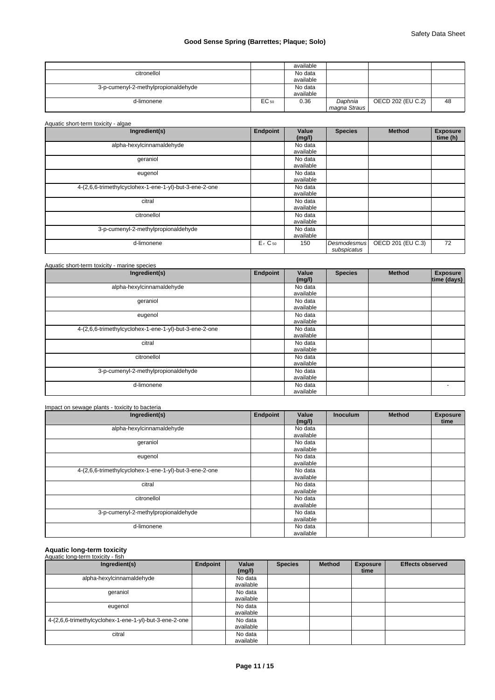|                                     |       | available |              |                   |    |
|-------------------------------------|-------|-----------|--------------|-------------------|----|
| citronellol                         |       | No data   |              |                   |    |
|                                     |       | available |              |                   |    |
| 3-p-cumenyl-2-methylpropionaldehyde |       | No data   |              |                   |    |
|                                     |       | available |              |                   |    |
| d-limonene                          | EC 50 | 0.36      | Daphnia      | OECD 202 (EU C.2) | 48 |
|                                     |       |           | magna Straus |                   |    |

| Aquatic short-term toxicity - algae                    |                                |                      |                                   |                   |                             |
|--------------------------------------------------------|--------------------------------|----------------------|-----------------------------------|-------------------|-----------------------------|
| Ingredient(s)                                          | <b>Endpoint</b>                | Value<br>(mg/l)      | <b>Species</b>                    | <b>Method</b>     | <b>Exposure</b><br>time (h) |
| alpha-hexylcinnamaldehyde                              |                                | No data<br>available |                                   |                   |                             |
| geraniol                                               |                                | No data<br>available |                                   |                   |                             |
| eugenol                                                |                                | No data<br>available |                                   |                   |                             |
| 4-(2,6,6-trimethylcyclohex-1-ene-1-yl)-but-3-ene-2-one |                                | No data<br>available |                                   |                   |                             |
| citral                                                 |                                | No data<br>available |                                   |                   |                             |
| citronellol                                            |                                | No data<br>available |                                   |                   |                             |
| 3-p-cumenyl-2-methylpropionaldehyde                    |                                | No data<br>available |                                   |                   |                             |
| d-limonene                                             | E <sub>r</sub> C <sub>50</sub> | 150                  | <b>Desmodesmus</b><br>subspicatus | OECD 201 (EU C.3) | 72                          |

| Ingredient(s)                                          | Endpoint | Value<br>(mg/l)      | <b>Species</b> | <b>Method</b> | <b>Exposure</b><br>time (days) |
|--------------------------------------------------------|----------|----------------------|----------------|---------------|--------------------------------|
| alpha-hexylcinnamaldehyde                              |          | No data<br>available |                |               |                                |
| geraniol                                               |          | No data<br>available |                |               |                                |
| eugenol                                                |          | No data<br>available |                |               |                                |
| 4-(2,6,6-trimethylcyclohex-1-ene-1-yl)-but-3-ene-2-one |          | No data<br>available |                |               |                                |
| citral                                                 |          | No data<br>available |                |               |                                |
| citronellol                                            |          | No data<br>available |                |               |                                |
| 3-p-cumenyl-2-methylpropionaldehyde                    |          | No data<br>available |                |               |                                |
| d-limonene                                             |          | No data<br>available |                |               | $\overline{\phantom{0}}$       |

| Ingredient(s)                                          | Endpoint | Value<br>(mg/l)      | <b>Inoculum</b> | <b>Method</b> | <b>Exposure</b><br>time |
|--------------------------------------------------------|----------|----------------------|-----------------|---------------|-------------------------|
| alpha-hexylcinnamaldehyde                              |          | No data<br>available |                 |               |                         |
| geraniol                                               |          | No data<br>available |                 |               |                         |
| eugenol                                                |          | No data<br>available |                 |               |                         |
| 4-(2,6,6-trimethylcyclohex-1-ene-1-yl)-but-3-ene-2-one |          | No data<br>available |                 |               |                         |
| citral                                                 |          | No data<br>available |                 |               |                         |
| citronellol                                            |          | No data<br>available |                 |               |                         |
| 3-p-cumenyl-2-methylpropionaldehyde                    |          | No data<br>available |                 |               |                         |
| d-limonene                                             |          | No data<br>available |                 |               |                         |

# **Aquatic long-term toxicity** Aquatic long-term toxicity - fish

| Ingredient(s)                                          | Endpoint | Value<br>(mg/l)      | <b>Species</b> | <b>Method</b> | <b>Exposure</b><br>time | <b>Effects observed</b> |
|--------------------------------------------------------|----------|----------------------|----------------|---------------|-------------------------|-------------------------|
| alpha-hexylcinnamaldehyde                              |          | No data<br>available |                |               |                         |                         |
| geraniol                                               |          | No data<br>available |                |               |                         |                         |
| eugenol                                                |          | No data<br>available |                |               |                         |                         |
| 4-(2,6,6-trimethylcyclohex-1-ene-1-yl)-but-3-ene-2-one |          | No data<br>available |                |               |                         |                         |
| citral                                                 |          | No data<br>available |                |               |                         |                         |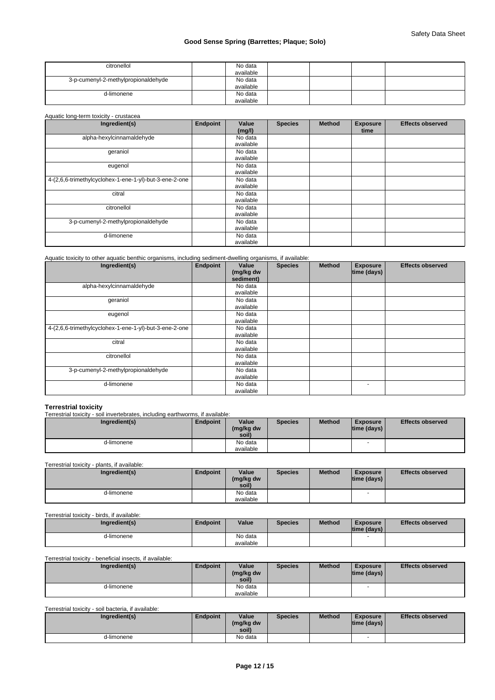| citronellol                         | No data<br>available |  |  |
|-------------------------------------|----------------------|--|--|
| 3-p-cumenyl-2-methylpropionaldehyde | No data              |  |  |
|                                     | available            |  |  |
| d-limonene                          | No data              |  |  |
|                                     | available            |  |  |

#### Aquatic long-term toxicity - crustacea

| Ingredient(s)                                          | Endpoint | Value<br>(mg/l) | <b>Species</b> | <b>Method</b> | <b>Exposure</b><br>time | <b>Effects observed</b> |
|--------------------------------------------------------|----------|-----------------|----------------|---------------|-------------------------|-------------------------|
| alpha-hexylcinnamaldehyde                              |          | No data         |                |               |                         |                         |
|                                                        |          | available       |                |               |                         |                         |
| geraniol                                               |          | No data         |                |               |                         |                         |
|                                                        |          | available       |                |               |                         |                         |
| eugenol                                                |          | No data         |                |               |                         |                         |
|                                                        |          | available       |                |               |                         |                         |
| 4-(2,6,6-trimethylcyclohex-1-ene-1-yl)-but-3-ene-2-one |          | No data         |                |               |                         |                         |
|                                                        |          | available       |                |               |                         |                         |
| citral                                                 |          | No data         |                |               |                         |                         |
|                                                        |          | available       |                |               |                         |                         |
| citronellol                                            |          | No data         |                |               |                         |                         |
|                                                        |          | available       |                |               |                         |                         |
| 3-p-cumenyl-2-methylpropionaldehyde                    |          | No data         |                |               |                         |                         |
|                                                        |          | available       |                |               |                         |                         |
| d-limonene                                             |          | No data         |                |               |                         |                         |
|                                                        |          | available       |                |               |                         |                         |

#### Aquatic toxicity to other aquatic benthic organisms, including sediment-dwelling organisms, if available:

| Ingredient(s)                                          | Endpoint | Value<br>(mg/kg dw<br>sediment) | <b>Species</b> | <b>Method</b> | <b>Exposure</b><br>time (days) | <b>Effects observed</b> |
|--------------------------------------------------------|----------|---------------------------------|----------------|---------------|--------------------------------|-------------------------|
| alpha-hexylcinnamaldehyde                              |          | No data                         |                |               |                                |                         |
|                                                        |          | available                       |                |               |                                |                         |
| geraniol                                               |          | No data                         |                |               |                                |                         |
|                                                        |          | available                       |                |               |                                |                         |
| eugenol                                                |          | No data                         |                |               |                                |                         |
|                                                        |          | available                       |                |               |                                |                         |
| 4-(2,6,6-trimethylcyclohex-1-ene-1-yl)-but-3-ene-2-one |          | No data                         |                |               |                                |                         |
|                                                        |          | available                       |                |               |                                |                         |
| citral                                                 |          | No data                         |                |               |                                |                         |
|                                                        |          | available                       |                |               |                                |                         |
| citronellol                                            |          | No data                         |                |               |                                |                         |
|                                                        |          | available                       |                |               |                                |                         |
| 3-p-cumenyl-2-methylpropionaldehyde                    |          | No data                         |                |               |                                |                         |
|                                                        |          | available                       |                |               |                                |                         |
| d-limonene                                             |          | No data                         |                |               | $\overline{\phantom{a}}$       |                         |
|                                                        |          | available                       |                |               |                                |                         |

**Terrestrial toxicity** Terrestrial toxicity - soil invertebrates, including earthworms, if available:

| Ingredient(s) | <b>Endpoint</b> | Value<br>(mg/kg dw<br>soil) | <b>Species</b> | <b>Method</b> | <b>Exposure</b><br>$ time$ (days) $ $ | <b>Effects observed</b> |
|---------------|-----------------|-----------------------------|----------------|---------------|---------------------------------------|-------------------------|
| d-limonene    |                 | No data<br>available        |                |               | . .                                   |                         |

Terrestrial toxicity - plants, if available:

| Ingredient(s) | Endpoint | Value<br>(mg/kg dw | <b>Species</b> | <b>Method</b> | <b>Exposure</b><br> time (days) | <b>Effects observed</b> |
|---------------|----------|--------------------|----------------|---------------|---------------------------------|-------------------------|
|               |          | soil)              |                |               |                                 |                         |
| d-limonene    |          | No data            |                |               |                                 |                         |
|               |          | available          |                |               |                                 |                         |

Terrestrial toxicity - birds, if available:

| Ingredient(s) | Endpoint | Value     | <b>Species</b> | <b>Method</b> | <b>Exposure</b> | <b>Effects observed</b> |
|---------------|----------|-----------|----------------|---------------|-----------------|-------------------------|
|               |          |           |                |               | Itime (davs) I  |                         |
| d-limonene    |          | No data   |                |               |                 |                         |
|               |          | available |                |               |                 |                         |

# Terrestrial toxicity - beneficial insects, if available:

| Ingredient(s) | Endpoint | Value<br>(mg/kg dw<br>soil) | <b>Species</b> | <b>Method</b> | <b>Exposure</b><br>$ time$ (days) $ $ | <b>Effects observed</b> |
|---------------|----------|-----------------------------|----------------|---------------|---------------------------------------|-------------------------|
| d-limonene    |          | No data                     |                |               |                                       |                         |
|               |          | available                   |                |               |                                       |                         |

Terrestrial toxicity - soil bacteria, if available:

| Ingredient(s) | Endpoint | Value<br>(mg/kg dw<br>soil) | <b>Species</b> | <b>Method</b> | <b>Exposure</b><br>$ time$ (days) $ $ | <b>Effects observed</b> |
|---------------|----------|-----------------------------|----------------|---------------|---------------------------------------|-------------------------|
| d-limonene    |          | No data                     |                |               |                                       |                         |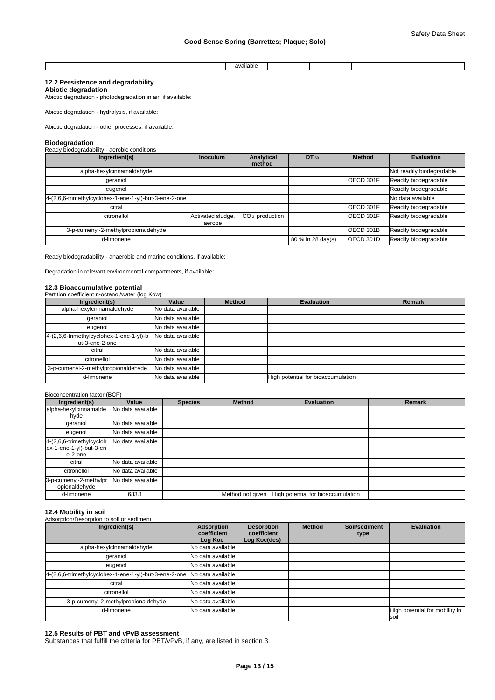|  | $\cdots$<br>$-1$<br>ша<br>we |  |  |
|--|------------------------------|--|--|

# **12.2 Persistence and degradability**

**Abiotic degradation** Abiotic degradation - photodegradation in air, if available:

Abiotic degradation - hydrolysis, if available:

Abiotic degradation - other processes, if available:

**Biodegradation** Ready biodegradability - aerobic conditions

| Ingredient(s)                                          | <b>Inoculum</b>             | Analytical<br>method | DT 50             | <b>Method</b> | <b>Evaluation</b>          |
|--------------------------------------------------------|-----------------------------|----------------------|-------------------|---------------|----------------------------|
| alpha-hexylcinnamaldehyde                              |                             |                      |                   |               | Not readily biodegradable. |
| qeraniol                                               |                             |                      |                   | OECD 301F     | Readily biodegradable      |
| eugenol                                                |                             |                      |                   |               | Readily biodegradable      |
| 4-(2,6,6-trimethylcyclohex-1-ene-1-yl)-but-3-ene-2-one |                             |                      |                   |               | No data available          |
| citral                                                 |                             |                      |                   | OECD 301F     | Readily biodegradable      |
| citronellol                                            | Activated sludge,<br>aerobe | $CO2$ production     |                   | OECD 301F     | Readily biodegradable      |
| 3-p-cumenyl-2-methylpropionaldehyde                    |                             |                      |                   | OECD 301B     | Readily biodegradable      |
| d-limonene                                             |                             |                      | 80 % in 28 day(s) | OECD 301D     | Readily biodegradable      |

Ready biodegradability - anaerobic and marine conditions, if available:

Degradation in relevant environmental compartments, if available:

#### **12.3 Bioaccumulative potential** Partition coefficient n-octanol/water (log Kow)

| Ingredient(s)                                              | Value             | <b>Method</b> | <b>Evaluation</b>                  | Remark |
|------------------------------------------------------------|-------------------|---------------|------------------------------------|--------|
| alpha-hexylcinnamaldehyde                                  | No data available |               |                                    |        |
| geraniol                                                   | No data available |               |                                    |        |
| eugenol                                                    | No data available |               |                                    |        |
| 4-(2,6,6-trimethylcyclohex-1-ene-1-yl)-b<br>ut-3-ene-2-one | No data available |               |                                    |        |
| citral                                                     | No data available |               |                                    |        |
| citronellol                                                | No data available |               |                                    |        |
| 3-p-cumenyl-2-methylpropionaldehyde                        | No data available |               |                                    |        |
| d-limonene                                                 | No data available |               | High potential for bioaccumulation |        |

#### Bioconcentration factor (BCF)

| Ingredient(s)            | Value             | <b>Species</b> | <b>Method</b>    | <b>Evaluation</b>                  | Remark |
|--------------------------|-------------------|----------------|------------------|------------------------------------|--------|
| alpha-hexylcinnamalde    | No data available |                |                  |                                    |        |
| hyde                     |                   |                |                  |                                    |        |
| geraniol                 | No data available |                |                  |                                    |        |
| eugenol                  | No data available |                |                  |                                    |        |
| 4-(2,6,6-trimethylcycloh | No data available |                |                  |                                    |        |
| ex-1-ene-1-yl)-but-3-en  |                   |                |                  |                                    |        |
| e-2-one                  |                   |                |                  |                                    |        |
| citral                   | No data available |                |                  |                                    |        |
| citronellol              | No data available |                |                  |                                    |        |
| 3-p-cumenyl-2-methylpr   | No data available |                |                  |                                    |        |
| opionaldehyde            |                   |                |                  |                                    |        |
| d-limonene               | 683.1             |                | Method not given | High potential for bioaccumulation |        |

### **12.4 Mobility in soil**

## Adsorption/Desorption to soil or sediment

| Ingredient(s)                                                            | Adsorption<br>coefficient<br>Log Koc | <b>Desorption</b><br>coefficient<br>Log Koc(des) | <b>Method</b> | Soil/sediment<br>type | <b>Evaluation</b>                     |
|--------------------------------------------------------------------------|--------------------------------------|--------------------------------------------------|---------------|-----------------------|---------------------------------------|
| alpha-hexylcinnamaldehyde                                                | No data available                    |                                                  |               |                       |                                       |
| geraniol                                                                 | No data available                    |                                                  |               |                       |                                       |
| eugenol                                                                  | No data available                    |                                                  |               |                       |                                       |
| 4-(2,6,6-trimethylcyclohex-1-ene-1-yl)-but-3-ene-2-one No data available |                                      |                                                  |               |                       |                                       |
| citral                                                                   | No data available                    |                                                  |               |                       |                                       |
| citronellol                                                              | No data available                    |                                                  |               |                       |                                       |
| 3-p-cumenyl-2-methylpropionaldehyde                                      | No data available                    |                                                  |               |                       |                                       |
| d-limonene                                                               | No data available                    |                                                  |               |                       | High potential for mobility in<br>soi |

### **12.5 Results of PBT and vPvB assessment**

Substances that fulfill the criteria for PBT/vPvB, if any, are listed in section 3.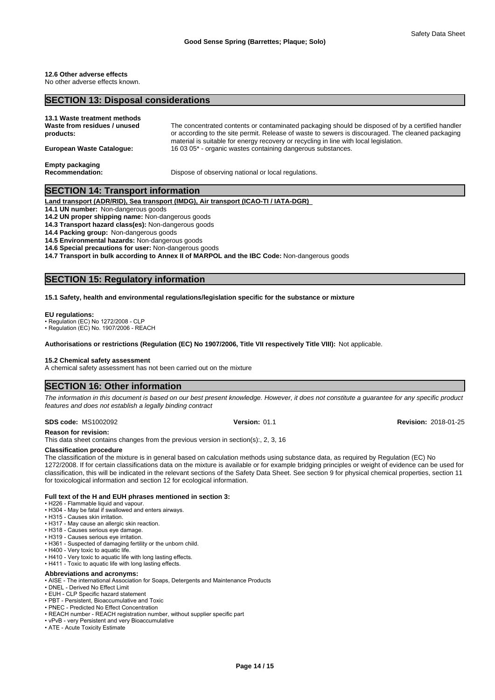# **12.6 Other adverse effects**

No other adverse effects known.

## **SECTION 13: Disposal considerations**

| 13.1 Waste treatment methods<br>Waste from residues / unused<br>products: | The concentrated contents or contaminated packaging should be disposed of by a certified handler<br>or according to the site permit. Release of waste to sewers is discouraged. The cleaned packaging<br>material is suitable for energy recovery or recycling in line with local legislation. |
|---------------------------------------------------------------------------|------------------------------------------------------------------------------------------------------------------------------------------------------------------------------------------------------------------------------------------------------------------------------------------------|
| European Waste Catalogue:                                                 | 16 03 05* - organic wastes containing dangerous substances.                                                                                                                                                                                                                                    |
| <b>Empty packaging</b><br><b>Recommendation:</b>                          | Dispose of observing national or local regulations.                                                                                                                                                                                                                                            |

# **SECTION 14: Transport information**

**Land transport (ADR/RID), Sea transport (IMDG), Air transport (ICAO-TI / IATA-DGR)** 

**14.1 UN number:** Non-dangerous goods

**14.2 UN proper shipping name:** Non-dangerous goods

**14.3 Transport hazard class(es):** Non-dangerous goods

**14.4 Packing group:** Non-dangerous goods

**14.5 Environmental hazards:** Non-dangerous goods

**14.6 Special precautions for user:** Non-dangerous goods

**14.7 Transport in bulk according to Annex II of MARPOL and the IBC Code:** Non-dangerous goods

# **SECTION 15: Regulatory information**

#### **15.1 Safety, health and environmental regulations/legislation specific for the substance or mixture**

#### **EU regulations:**

• Regulation (EC) No 1272/2008 - CLP

• Regulation (EC) No. 1907/2006 - REACH

**Authorisations or restrictions (Regulation (EC) No 1907/2006, Title VII respectively Title VIII):** Not applicable.

#### **15.2 Chemical safety assessment**

A chemical safety assessment has not been carried out on the mixture

### **SECTION 16: Other information**

*The information in this document is based on our best present knowledge. However, it does not constitute a guarantee for any specific product features and does not establish a legally binding contract*

#### **SDS code:** MS1002092 **Version:** 01.1 **Revision:** 2018-01-25

**Reason for revision:**

This data sheet contains changes from the previous version in section(s):, 2, 3, 16

#### **Classification procedure**

The classification of the mixture is in general based on calculation methods using substance data, as required by Regulation (EC) No 1272/2008. If for certain classifications data on the mixture is available or for example bridging principles or weight of evidence can be used for classification, this will be indicated in the relevant sections of the Safety Data Sheet. See section 9 for physical chemical properties, section 11 for toxicological information and section 12 for ecological information.

#### **Full text of the H and EUH phrases mentioned in section 3:**

• H226 - Flammable liquid and vapour.

- H304 May be fatal if swallowed and enters airways.
- H315 Causes skin irritation.
- H317 May cause an allergic skin reaction. • H318 - Causes serious eye damage.
- H319 Causes serious eye irritation.
- 
- H361 Suspected of damaging fertility or the unborn child. • H400 - Very toxic to aquatic life.
- H410 Very toxic to aquatic life with long lasting effects.
- H411 Toxic to aquatic life with long lasting effects.

#### **Abbreviations and acronyms:**

- AISE The international Association for Soaps, Detergents and Maintenance Products
- DNEL Derived No Effect Limit
- EUH CLP Specific hazard statement
- PBT Persistent, Bioaccumulative and Toxic • PNEC - Predicted No Effect Concentration
- REACH number REACH registration number, without supplier specific part
- vPvB very Persistent and very Bioaccumulative
- ATE Acute Toxicity Estimate